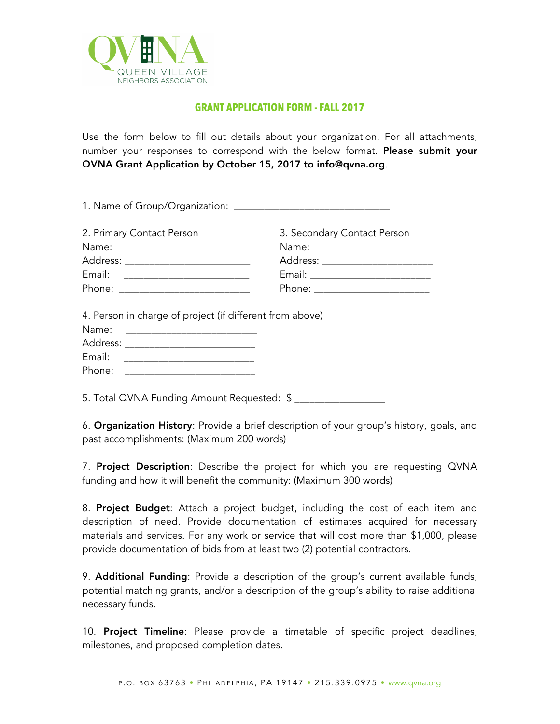

## **GRANT APPLICATION FORM - FALL 2017**

Use the form below to fill out details about your organization. For all attachments, number your responses to correspond with the below format. Please submit your QVNA Grant Application by October 15, 2017 to info@qvna.org.

| 2. Primary Contact Person                                | 3. Secondary Contact Person |
|----------------------------------------------------------|-----------------------------|
|                                                          |                             |
| Address: ______________________________                  |                             |
| Email: ____________________________                      |                             |
|                                                          |                             |
| 4. Person in charge of project (if different from above) |                             |

6. Organization History: Provide a brief description of your group's history, goals, and past accomplishments: (Maximum 200 words)

7. Project Description: Describe the project for which you are requesting QVNA funding and how it will benefit the community: (Maximum 300 words)

8. Project Budget: Attach a project budget, including the cost of each item and description of need. Provide documentation of estimates acquired for necessary materials and services. For any work or service that will cost more than \$1,000, please provide documentation of bids from at least two (2) potential contractors.

9. **Additional Funding**: Provide a description of the group's current available funds, potential matching grants, and/or a description of the group's ability to raise additional necessary funds.

10. Project Timeline: Please provide a timetable of specific project deadlines, milestones, and proposed completion dates.